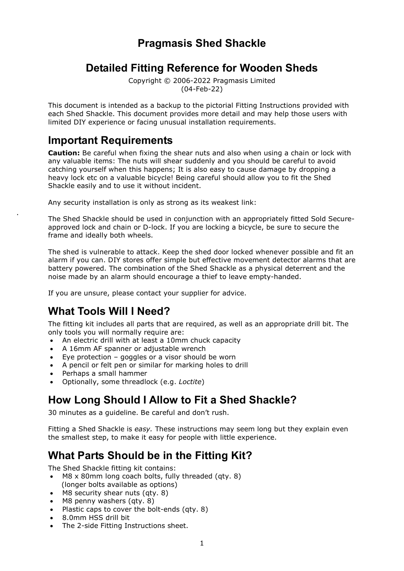## **Pragmasis Shed Shackle**

### **Detailed Fitting Reference for Wooden Sheds**

Copyright © 2006-2022 Pragmasis Limited (04-Feb-22)

This document is intended as a backup to the pictorial Fitting Instructions provided with each Shed Shackle. This document provides more detail and may help those users with limited DIY experience or facing unusual installation requirements.

### **Important Requirements**

.

**Caution:** Be careful when fixing the shear nuts and also when using a chain or lock with any valuable items: The nuts will shear suddenly and you should be careful to avoid catching yourself when this happens; It is also easy to cause damage by dropping a heavy lock etc on a valuable bicycle! Being careful should allow you to fit the Shed Shackle easily and to use it without incident.

Any security installation is only as strong as its weakest link:

The Shed Shackle should be used in conjunction with an appropriately fitted Sold Secureapproved lock and chain or D-lock. If you are locking a bicycle, be sure to secure the frame and ideally both wheels.

The shed is vulnerable to attack. Keep the shed door locked whenever possible and fit an alarm if you can. DIY stores offer simple but effective movement detector alarms that are battery powered. The combination of the Shed Shackle as a physical deterrent and the noise made by an alarm should encourage a thief to leave empty-handed.

If you are unsure, please contact your supplier for advice.

# **What Tools Will I Need?**

The fitting kit includes all parts that are required, as well as an appropriate drill bit. The only tools you will normally require are:

- An electric drill with at least a 10mm chuck capacity
- A 16mm AF spanner or adjustable wrench
- Eye protection goggles or a visor should be worn
- A pencil or felt pen or similar for marking holes to drill
- Perhaps a small hammer
- Optionally, some threadlock (e.g. *Loctite*)

# **How Long Should I Allow to Fit a Shed Shackle?**

30 minutes as a guideline. Be careful and don't rush.

Fitting a Shed Shackle is *easy.* These instructions may seem long but they explain even the smallest step, to make it easy for people with little experience.

# **What Parts Should be in the Fitting Kit?**

The Shed Shackle fitting kit contains:

- M8 x 80mm long coach bolts, fully threaded (qty. 8) (longer bolts available as options)
- M8 security shear nuts (qty. 8)
- M8 penny washers (qty. 8)
- Plastic caps to cover the bolt-ends (qty. 8)
- 8.0mm HSS drill bit
- The 2-side Fitting Instructions sheet.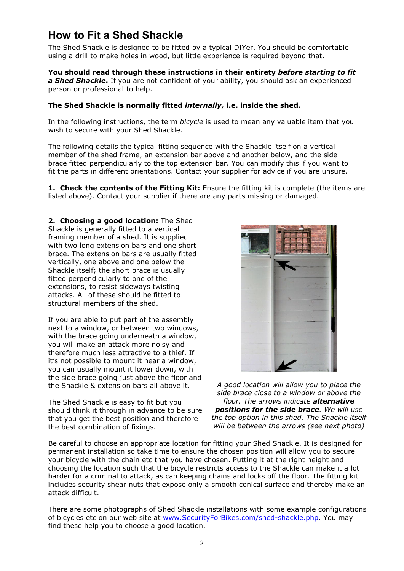## **How to Fit a Shed Shackle**

The Shed Shackle is designed to be fitted by a typical DIYer. You should be comfortable using a drill to make holes in wood, but little experience is required beyond that.

**You should read through these instructions in their entirety** *before starting to fit a Shed Shackle***.** If you are not confident of your ability, you should ask an experienced person or professional to help.

#### **The Shed Shackle is normally fitted** *internally***, i.e. inside the shed.**

In the following instructions, the term *bicycle* is used to mean any valuable item that you wish to secure with your Shed Shackle.

The following details the typical fitting sequence with the Shackle itself on a vertical member of the shed frame, an extension bar above and another below, and the side brace fitted perpendicularly to the top extension bar. You can modify this if you want to fit the parts in different orientations. Contact your supplier for advice if you are unsure.

**1. Check the contents of the Fitting Kit:** Ensure the fitting kit is complete (the items are listed above). Contact your supplier if there are any parts missing or damaged.

**2. Choosing a good location:** The Shed Shackle is generally fitted to a vertical framing member of a shed. It is supplied with two long extension bars and one short brace. The extension bars are usually fitted vertically, one above and one below the Shackle itself; the short brace is usually fitted perpendicularly to one of the extensions, to resist sideways twisting attacks. All of these should be fitted to structural members of the shed.

If you are able to put part of the assembly next to a window, or between two windows, with the brace going underneath a window, you will make an attack more noisy and therefore much less attractive to a thief. If it's not possible to mount it near a window, you can usually mount it lower down, with the side brace going just above the floor and the Shackle & extension bars all above it.

The Shed Shackle is easy to fit but you should think it through in advance to be sure that you get the best position and therefore the best combination of fixings.



*A good location will allow you to place the side brace close to a window or above the floor. The arrows indicate alternative positions for the side brace. We will use the top option in this shed. The Shackle itself will be between the arrows (see next photo)*

Be careful to choose an appropriate location for fitting your Shed Shackle. It is designed for permanent installation so take time to ensure the chosen position will allow you to secure your bicycle with the chain etc that you have chosen. Putting it at the right height and choosing the location such that the bicycle restricts access to the Shackle can make it a lot harder for a criminal to attack, as can keeping chains and locks off the floor. The fitting kit includes security shear nuts that expose only a smooth conical surface and thereby make an attack difficult.

There are some photographs of Shed Shackle installations with some example configurations of bicycles etc on our web site at [www.SecurityForBikes.com/shed-shackle.php.](http://www.securityforbikes.com/shed-shackle.php) You may find these help you to choose a good location.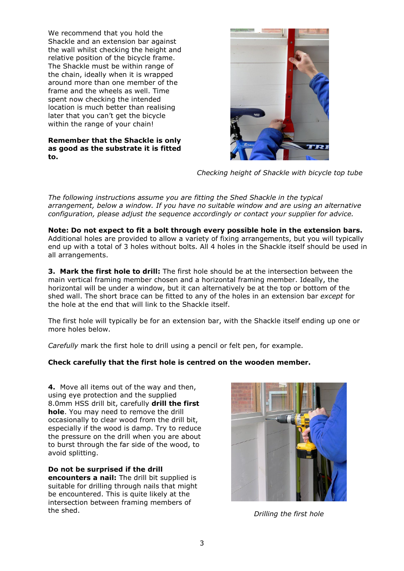We recommend that you hold the Shackle and an extension bar against the wall whilst checking the height and relative position of the bicycle frame. The Shackle must be within range of the chain, ideally when it is wrapped around more than one member of the frame and the wheels as well. Time spent now checking the intended location is much better than realising later that you can't get the bicycle within the range of your chain!

**Remember that the Shackle is only as good as the substrate it is fitted to.**



*Checking height of Shackle with bicycle top tube*

*The following instructions assume you are fitting the Shed Shackle in the typical arrangement, below a window. If you have no suitable window and are using an alternative configuration, please adjust the sequence accordingly or contact your supplier for advice.*

**Note: Do not expect to fit a bolt through every possible hole in the extension bars.**  Additional holes are provided to allow a variety of fixing arrangements, but you will typically end up with a total of 3 holes without bolts. All 4 holes in the Shackle itself should be used in all arrangements.

**3. Mark the first hole to drill:** The first hole should be at the intersection between the main vertical framing member chosen and a horizontal framing member. Ideally, the horizontal will be under a window, but it can alternatively be at the top or bottom of the shed wall. The short brace can be fitted to any of the holes in an extension bar *except* for the hole at the end that will link to the Shackle itself.

The first hole will typically be for an extension bar, with the Shackle itself ending up one or more holes below.

*Carefully* mark the first hole to drill using a pencil or felt pen, for example.

#### **Check carefully that the first hole is centred on the wooden member.**

**4.** Move all items out of the way and then, using eye protection and the supplied 8.0mm HSS drill bit, carefully **drill the first hole**. You may need to remove the drill occasionally to clear wood from the drill bit, especially if the wood is damp. Try to reduce the pressure on the drill when you are about to burst through the far side of the wood, to avoid splitting.

**Do not be surprised if the drill encounters a nail:** The drill bit supplied is suitable for drilling through nails that might be encountered. This is quite likely at the intersection between framing members of the shed. *Drilling the first hole*

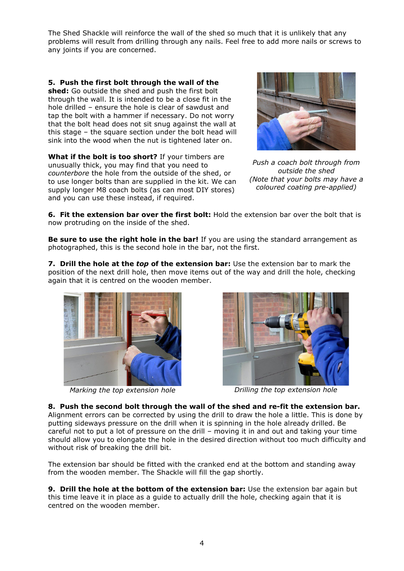The Shed Shackle will reinforce the wall of the shed so much that it is unlikely that any problems will result from drilling through any nails. Feel free to add more nails or screws to any joints if you are concerned.

**5. Push the first bolt through the wall of the shed:** Go outside the shed and push the first bolt through the wall. It is intended to be a close fit in the hole drilled – ensure the hole is clear of sawdust and tap the bolt with a hammer if necessary. Do not worry that the bolt head does not sit snug against the wall at this stage – the square section under the bolt head will sink into the wood when the nut is tightened later on.

**What if the bolt is too short?** If your timbers are unusually thick, you may find that you need to *counterbore* the hole from the outside of the shed, or to use longer bolts than are supplied in the kit. We can supply longer M8 coach bolts (as can most DIY stores) and you can use these instead, if required.



*Push a coach bolt through from outside the shed (Note that your bolts may have a coloured coating pre-applied)*

**6. Fit the extension bar over the first bolt:** Hold the extension bar over the bolt that is now protruding on the inside of the shed.

**Be sure to use the right hole in the bar!** If you are using the standard arrangement as photographed, this is the second hole in the bar, not the first.

**7. Drill the hole at the** *top* **of the extension bar:** Use the extension bar to mark the position of the next drill hole, then move items out of the way and drill the hole, checking again that it is centred on the wooden member.



*Marking the top extension hole Drilling the top extension hole*



**8. Push the second bolt through the wall of the shed and re-fit the extension bar.**  Alignment errors can be corrected by using the drill to draw the hole a little. This is done by putting sideways pressure on the drill when it is spinning in the hole already drilled. Be careful not to put a lot of pressure on the drill – moving it in and out and taking your time should allow you to elongate the hole in the desired direction without too much difficulty and without risk of breaking the drill bit.

The extension bar should be fitted with the cranked end at the bottom and standing away from the wooden member. The Shackle will fill the gap shortly.

**9. Drill the hole at the bottom of the extension bar:** Use the extension bar again but this time leave it in place as a guide to actually drill the hole, checking again that it is centred on the wooden member.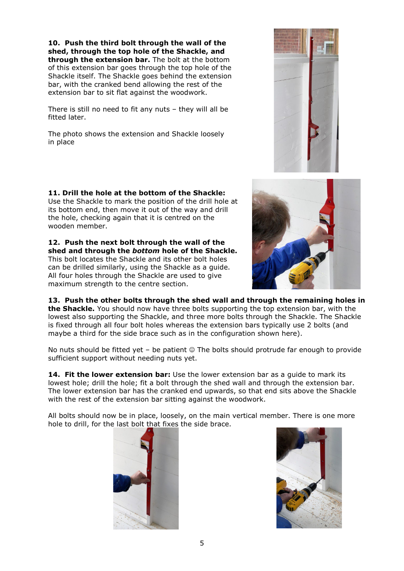**10. Push the third bolt through the wall of the shed, through the top hole of the Shackle, and through the extension bar.** The bolt at the bottom of this extension bar goes through the top hole of the Shackle itself. The Shackle goes behind the extension bar, with the cranked bend allowing the rest of the extension bar to sit flat against the woodwork.

There is still no need to fit any nuts – they will all be fitted later.

The photo shows the extension and Shackle loosely in place

**11. Drill the hole at the bottom of the Shackle:** Use the Shackle to mark the position of the drill hole at its bottom end, then move it out of the way and drill the hole, checking again that it is centred on the wooden member.

**12. Push the next bolt through the wall of the shed and through the** *bottom* **hole of the Shackle.** This bolt locates the Shackle and its other bolt holes

can be drilled similarly, using the Shackle as a guide. All four holes through the Shackle are used to give maximum strength to the centre section.

**13. Push the other bolts through the shed wall and through the remaining holes in the Shackle.** You should now have three bolts supporting the top extension bar, with the lowest also supporting the Shackle, and three more bolts through the Shackle. The Shackle is fixed through all four bolt holes whereas the extension bars typically use 2 bolts (and maybe a third for the side brace such as in the configuration shown here).

No nuts should be fitted yet – be patient  $\odot$  The bolts should protrude far enough to provide sufficient support without needing nuts yet.

**14. Fit the lower extension bar:** Use the lower extension bar as a guide to mark its lowest hole; drill the hole; fit a bolt through the shed wall and through the extension bar. The lower extension bar has the cranked end upwards, so that end sits above the Shackle with the rest of the extension bar sitting against the woodwork.

All bolts should now be in place, loosely, on the main vertical member. There is one more hole to drill, for the last bolt that fixes the side brace.







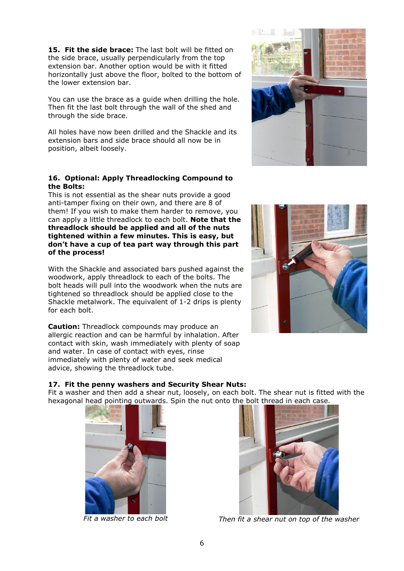**15. Fit the side brace:** The last bolt will be fitted on the side brace, usually perpendicularly from the top extension bar. Another option would be with it fitted horizontally just above the floor, bolted to the bottom of the lower extension bar.

You can use the brace as a guide when drilling the hole. Then fit the last bolt through the wall of the shed and through the side brace.

All holes have now been drilled and the Shackle and its extension bars and side brace should all now be in position, albeit loosely.

#### **16. Optional: Apply Threadlocking Compound to the Bolts:**

This is not essential as the shear nuts provide a good anti-tamper fixing on their own, and there are 8 of them! If you wish to make them harder to remove, you can apply a little threadlock to each bolt. **Note that the threadlock should be applied and all of the nuts tightened within a few minutes. This is easy, but don't have a cup of tea part way through this part of the process!**

With the Shackle and associated bars pushed against the woodwork, apply threadlock to each of the bolts. The bolt heads will pull into the woodwork when the nuts are tightened so threadlock should be applied close to the Shackle metalwork. The equivalent of 1-2 drips is plenty for each bolt.

**Caution:** Threadlock compounds may produce an allergic reaction and can be harmful by inhalation. After contact with skin, wash immediately with plenty of soap and water. In case of contact with eyes, rinse immediately with plenty of water and seek medical advice, showing the threadlock tube.



Fit a washer and then add a shear nut, loosely, on each bolt. The shear nut is fitted with the hexagonal head pointing outwards. Spin the nut onto the bolt thread in each case.







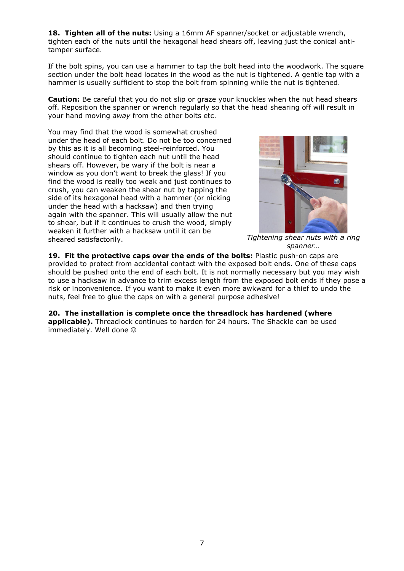**18. Tighten all of the nuts:** Using a 16mm AF spanner/socket or adjustable wrench, tighten each of the nuts until the hexagonal head shears off, leaving just the conical antitamper surface.

If the bolt spins, you can use a hammer to tap the bolt head into the woodwork. The square section under the bolt head locates in the wood as the nut is tightened. A gentle tap with a hammer is usually sufficient to stop the bolt from spinning while the nut is tightened.

**Caution:** Be careful that you do not slip or graze your knuckles when the nut head shears off. Reposition the spanner or wrench regularly so that the head shearing off will result in your hand moving *away* from the other bolts etc.

You may find that the wood is somewhat crushed under the head of each bolt. Do not be too concerned by this as it is all becoming steel-reinforced. You should continue to tighten each nut until the head shears off. However, be wary if the bolt is near a window as you don't want to break the glass! If you find the wood is really too weak and just continues to crush, you can weaken the shear nut by tapping the side of its hexagonal head with a hammer (or nicking under the head with a hacksaw) and then trying again with the spanner. This will usually allow the nut to shear, but if it continues to crush the wood, simply weaken it further with a hacksaw until it can be sheared satisfactorily. *Tightening shear nuts with a ring* 



*spanner…*

**19. Fit the protective caps over the ends of the bolts:** Plastic push-on caps are provided to protect from accidental contact with the exposed bolt ends. One of these caps should be pushed onto the end of each bolt. It is not normally necessary but you may wish to use a hacksaw in advance to trim excess length from the exposed bolt ends if they pose a risk or inconvenience. If you want to make it even more awkward for a thief to undo the nuts, feel free to glue the caps on with a general purpose adhesive!

**20. The installation is complete once the threadlock has hardened (where applicable).** Threadlock continues to harden for 24 hours. The Shackle can be used immediately. Well done